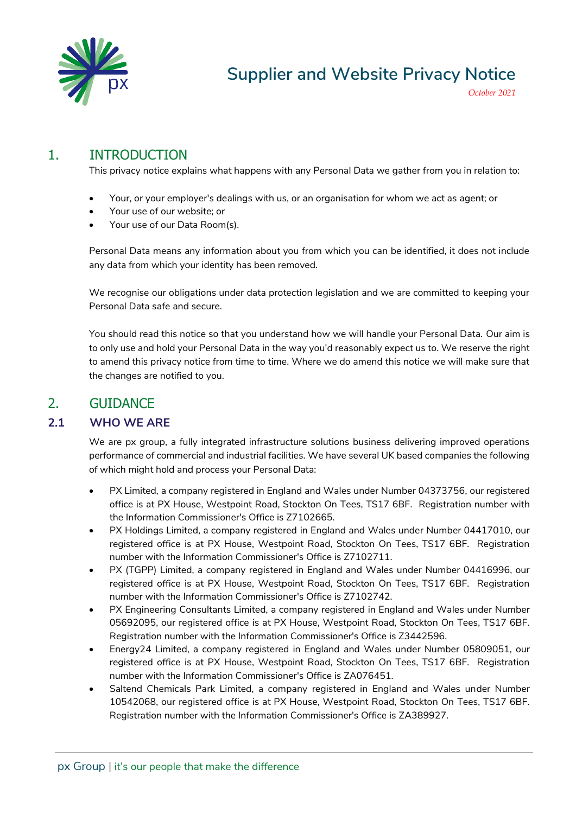

# 1. INTRODUCTION

This privacy notice explains what happens with any Personal Data we gather from you in relation to:

- Your, or your employer's dealings with us, or an organisation for whom we act as agent; or
- Your use of our website; or
- Your use of our Data Room(s).

Personal Data means any information about you from which you can be identified, it does not include any data from which your identity has been removed.

We recognise our obligations under data protection legislation and we are committed to keeping your Personal Data safe and secure.

You should read this notice so that you understand how we will handle your Personal Data. Our aim is to only use and hold your Personal Data in the way you'd reasonably expect us to. We reserve the right to amend this privacy notice from time to time. Where we do amend this notice we will make sure that the changes are notified to you.

# 2. GUIDANCE

#### **2.1 WHO WE ARE**

We are px group, a fully integrated infrastructure solutions business delivering improved operations performance of commercial and industrial facilities. We have several UK based companies the following of which might hold and process your Personal Data:

- PX Limited*,* a company registered in England and Wales under Number 04373756*,* our registered office is at PX House, Westpoint Road, Stockton On Tees, TS17 6BF*.* Registration number with the Information Commissioner's Office is Z7102665.
- PX Holdings Limited, a company registered in England and Wales under Number 04417010, our registered office is at PX House, Westpoint Road, Stockton On Tees, TS17 6BF. Registration number with the Information Commissioner's Office is Z7102711.
- PX (TGPP) Limited, a company registered in England and Wales under Number 04416996, our registered office is at PX House, Westpoint Road, Stockton On Tees, TS17 6BF. Registration number with the Information Commissioner's Office is Z7102742.
- PX Engineering Consultants Limited, a company registered in England and Wales under Number 05692095, our registered office is at PX House, Westpoint Road, Stockton On Tees, TS17 6BF. Registration number with the Information Commissioner's Office is Z3442596.
- Energy24 Limited, a company registered in England and Wales under Number 05809051, our registered office is at PX House, Westpoint Road, Stockton On Tees, TS17 6BF. Registration number with the Information Commissioner's Office is ZA076451.
- Saltend Chemicals Park Limited, a company registered in England and Wales under Number 10542068, our registered office is at PX House, Westpoint Road, Stockton On Tees, TS17 6BF. Registration number with the Information Commissioner's Office is ZA389927.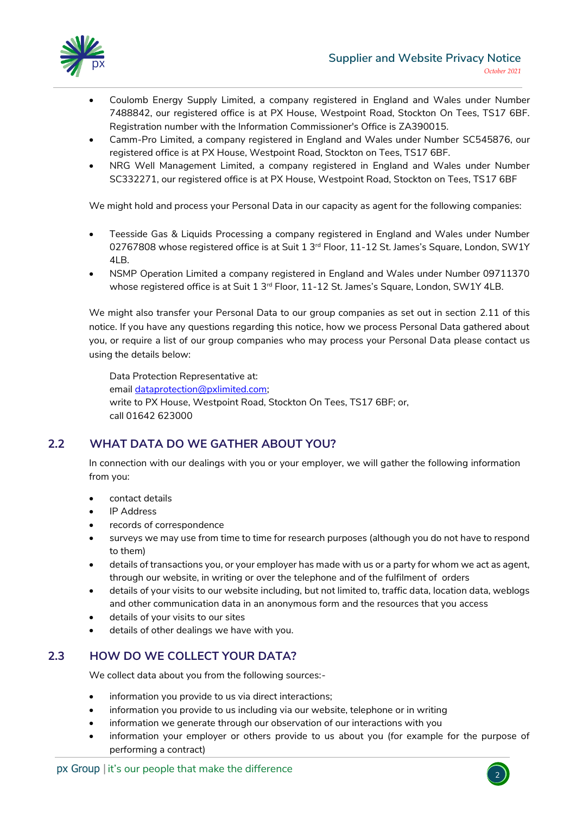

- Coulomb Energy Supply Limited, a company registered in England and Wales under Number 7488842, our registered office is at PX House, Westpoint Road, Stockton On Tees, TS17 6BF. Registration number with the Information Commissioner's Office is ZA390015.
- Camm-Pro Limited, a company registered in England and Wales under Number SC545876, our registered office is at PX House, Westpoint Road, Stockton on Tees, TS17 6BF.
- NRG Well Management Limited, a company registered in England and Wales under Number SC332271, our registered office is at PX House, Westpoint Road, Stockton on Tees, TS17 6BF

We might hold and process your Personal Data in our capacity as agent for the following companies:

- Teesside Gas & Liquids Processing a company registered in England and Wales under Number 02767808 whose registered office is at Suit  $1 \, 3^{rd}$  Floor, 11-12 St. James's Square, London, SW1Y 4LB.
- NSMP Operation Limited a company registered in England and Wales under Number 09711370 whose registered office is at Suit 1 3<sup>rd</sup> Floor, 11-12 St. James's Square, London, SW1Y 4LB.

We might also transfer your Personal Data to our group companies as set out in section 2.11 of this notice. If you have any questions regarding this notice, how we process Personal Data gathered about you, or require a list of our group companies who may process your Personal Data please contact us using the details below:

Data Protection Representative at: email [dataprotection@pxlimited.com;](mailto:dataprotection@pxlimited.com) write to PX House, Westpoint Road, Stockton On Tees, TS17 6BF; or, call 01642 623000

# **2.2 WHAT DATA DO WE GATHER ABOUT YOU?**

In connection with our dealings with you or your employer, we will gather the following information from you:

- contact details
- IP Address
- records of correspondence
- surveys we may use from time to time for research purposes (although you do not have to respond to them)
- details of transactions you, or your employer has made with us or a party for whom we act as agent, through our website, in writing or over the telephone and of the fulfilment of orders
- details of your visits to our website including, but not limited to, traffic data, location data, weblogs and other communication data in an anonymous form and the resources that you access
- details of your visits to our sites
- details of other dealings we have with you.

# **2.3 HOW DO WE COLLECT YOUR DATA?**

We collect data about you from the following sources:-

- information you provide to us via direct interactions;
- information you provide to us including via our website, telephone or in writing
- information we generate through our observation of our interactions with you
- information your employer or others provide to us about you (for example for the purpose of performing a contract)

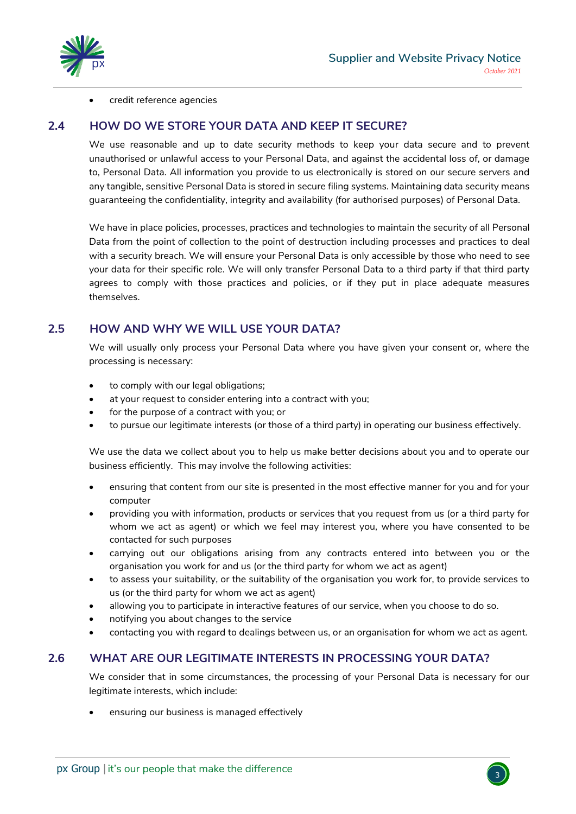

credit reference agencies

#### **2.4 HOW DO WE STORE YOUR DATA AND KEEP IT SECURE?**

We use reasonable and up to date security methods to keep your data secure and to prevent unauthorised or unlawful access to your Personal Data, and against the accidental loss of, or damage to, Personal Data. All information you provide to us electronically is stored on our secure servers and any tangible, sensitive Personal Data is stored in secure filing systems. Maintaining data security means guaranteeing the confidentiality, integrity and availability (for authorised purposes) of Personal Data.

We have in place policies, processes, practices and technologies to maintain the security of all Personal Data from the point of collection to the point of destruction including processes and practices to deal with a security breach. We will ensure your Personal Data is only accessible by those who need to see your data for their specific role. We will only transfer Personal Data to a third party if that third party agrees to comply with those practices and policies, or if they put in place adequate measures themselves.

#### **2.5 HOW AND WHY WE WILL USE YOUR DATA?**

We will usually only process your Personal Data where you have given your consent or, where the processing is necessary:

- to comply with our legal obligations;
- at your request to consider entering into a contract with you;
- for the purpose of a contract with you; or
- to pursue our legitimate interests (or those of a third party) in operating our business effectively.

We use the data we collect about you to help us make better decisions about you and to operate our business efficiently. This may involve the following activities:

- ensuring that content from our site is presented in the most effective manner for you and for your computer
- providing you with information, products or services that you request from us (or a third party for whom we act as agent) or which we feel may interest you, where you have consented to be contacted for such purposes
- carrying out our obligations arising from any contracts entered into between you or the organisation you work for and us (or the third party for whom we act as agent)
- to assess your suitability, or the suitability of the organisation you work for, to provide services to us (or the third party for whom we act as agent)
- allowing you to participate in interactive features of our service, when you choose to do so.
- notifying you about changes to the service
- contacting you with regard to dealings between us, or an organisation for whom we act as agent.

#### **2.6 WHAT ARE OUR LEGITIMATE INTERESTS IN PROCESSING YOUR DATA?**

We consider that in some circumstances, the processing of your Personal Data is necessary for our legitimate interests, which include:

• ensuring our business is managed effectively

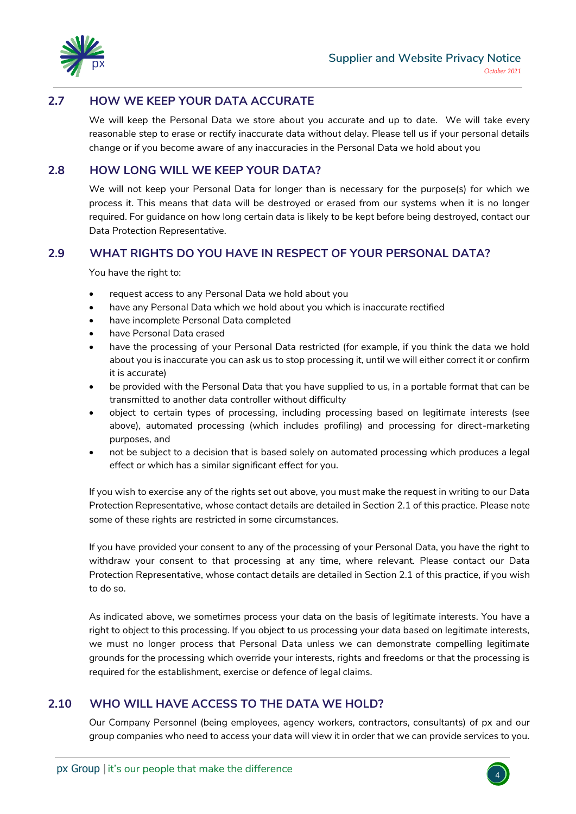

### **2.7 HOW WE KEEP YOUR DATA ACCURATE**

We will keep the Personal Data we store about you accurate and up to date. We will take every reasonable step to erase or rectify inaccurate data without delay. Please tell us if your personal details change or if you become aware of any inaccuracies in the Personal Data we hold about you

## **2.8 HOW LONG WILL WE KEEP YOUR DATA?**

We will not keep your Personal Data for longer than is necessary for the purpose(s) for which we process it. This means that data will be destroyed or erased from our systems when it is no longer required. For guidance on how long certain data is likely to be kept before being destroyed, contact our Data Protection Representative*.*

#### **2.9 WHAT RIGHTS DO YOU HAVE IN RESPECT OF YOUR PERSONAL DATA?**

You have the right to:

- request access to any Personal Data we hold about you
- have any Personal Data which we hold about you which is inaccurate rectified
- have incomplete Personal Data completed
- have Personal Data erased
- have the processing of your Personal Data restricted (for example, if you think the data we hold about you is inaccurate you can ask us to stop processing it, until we will either correct it or confirm it is accurate)
- be provided with the Personal Data that you have supplied to us, in a portable format that can be transmitted to another data controller without difficulty
- object to certain types of processing, including processing based on legitimate interests (see above), automated processing (which includes profiling) and processing for direct-marketing purposes, and
- not be subject to a decision that is based solely on automated processing which produces a legal effect or which has a similar significant effect for you.

If you wish to exercise any of the rights set out above, you must make the request in writing to our Data Protection Representative, whose contact details are detailed in Section 2.1 of this practice*.* Please note some of these rights are restricted in some circumstances.

If you have provided your consent to any of the processing of your Personal Data, you have the right to withdraw your consent to that processing at any time, where relevant. Please contact our Data Protection Representative, whose contact details are detailed in Section 2.1 of this practice, if you wish to do so.

As indicated above, we sometimes process your data on the basis of legitimate interests. You have a right to object to this processing. If you object to us processing your data based on legitimate interests, we must no longer process that Personal Data unless we can demonstrate compelling legitimate grounds for the processing which override your interests, rights and freedoms or that the processing is required for the establishment, exercise or defence of legal claims.

#### **2.10 WHO WILL HAVE ACCESS TO THE DATA WE HOLD?**

Our Company Personnel (being employees, agency workers, contractors, consultants) of px and our group companies who need to access your data will view it in order that we can provide services to you.

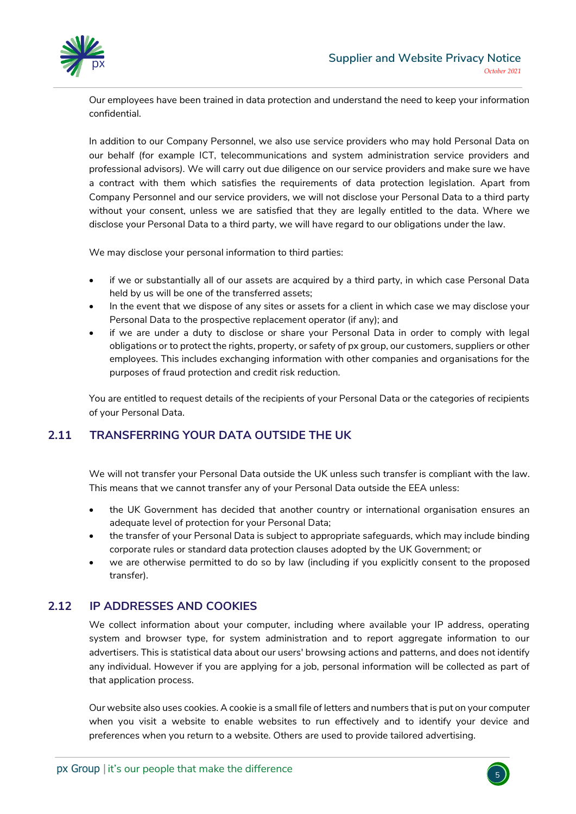

Our employees have been trained in data protection and understand the need to keep your information confidential.

In addition to our Company Personnel, we also use service providers who may hold Personal Data on our behalf (for example ICT, telecommunications and system administration service providers and professional advisors*).* We will carry out due diligence on our service providers and make sure we have a contract with them which satisfies the requirements of data protection legislation. Apart from Company Personnel and our service providers, we will not disclose your Personal Data to a third party without your consent, unless we are satisfied that they are legally entitled to the data. Where we disclose your Personal Data to a third party, we will have regard to our obligations under the law.

We may disclose your personal information to third parties:

- if we or substantially all of our assets are acquired by a third party, in which case Personal Data held by us will be one of the transferred assets;
- In the event that we dispose of any sites or assets for a client in which case we may disclose your Personal Data to the prospective replacement operator (if any); and
- if we are under a duty to disclose or share your Personal Data in order to comply with legal obligations or to protect the rights, property, or safety of px group, our customers, suppliers or other employees. This includes exchanging information with other companies and organisations for the purposes of fraud protection and credit risk reduction.

You are entitled to request details of the recipients of your Personal Data or the categories of recipients of your Personal Data.

# **2.11 TRANSFERRING YOUR DATA OUTSIDE THE UK**

We will not transfer your Personal Data outside the UK unless such transfer is compliant with the law. This means that we cannot transfer any of your Personal Data outside the EEA unless:

- the UK Government has decided that another country or international organisation ensures an adequate level of protection for your Personal Data;
- the transfer of your Personal Data is subject to appropriate safeguards, which may include binding corporate rules or standard data protection clauses adopted by the UK Government; or
- we are otherwise permitted to do so by law (including if you explicitly consent to the proposed transfer).

# **2.12 IP ADDRESSES AND COOKIES**

We collect information about your computer, including where available your IP address, operating system and browser type, for system administration and to report aggregate information to our advertisers. This is statistical data about our users' browsing actions and patterns, and does not identify any individual. However if you are applying for a job, personal information will be collected as part of that application process.

Our website also uses cookies. A cookie is a small file of letters and numbers that is put on your computer when you visit a website to enable websites to run effectively and to identify your device and preferences when you return to a website. Others are used to provide tailored advertising.